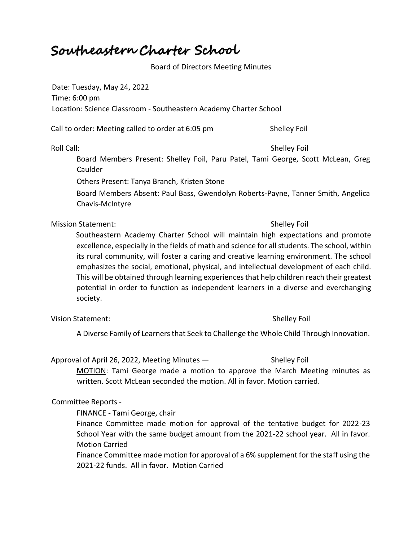# Southeastern Charter School

## Board of Directors Meeting Minutes

Date: Tuesday, May 24, 2022 Time: 6:00 pm Location: Science Classroom - Southeastern Academy Charter School

Call to order: Meeting called to order at 6:05 pm Shelley Foil

Board Members Present: Shelley Foil, Paru Patel, Tami George, Scott McLean, Greg Caulder

Others Present: Tanya Branch, Kristen Stone

Board Members Absent: Paul Bass, Gwendolyn Roberts-Payne, Tanner Smith, Angelica Chavis-McIntyre

Mission Statement: Shelley Foil

# Southeastern Academy Charter School will maintain high expectations and promote excellence, especially in the fields of math and science for all students. The school, within its rural community, will foster a caring and creative learning environment. The school emphasizes the social, emotional, physical, and intellectual development of each child. This will be obtained through learning experiences that help children reach their greatest potential in order to function as independent learners in a diverse and everchanging society.

Vision Statement: Shelley Foil

A Diverse Family of Learners that Seek to Challenge the Whole Child Through Innovation.

Approval of April 26, 2022, Meeting Minutes — Shelley Foil

MOTION: Tami George made a motion to approve the March Meeting minutes as written. Scott McLean seconded the motion. All in favor. Motion carried.

### Committee Reports -

FINANCE - Tami George, chair

Finance Committee made motion for approval of the tentative budget for 2022-23 School Year with the same budget amount from the 2021-22 school year. All in favor. Motion Carried

Finance Committee made motion for approval of a 6% supplement for the staff using the 2021-22 funds. All in favor. Motion Carried

Roll Call: Shelley Foil